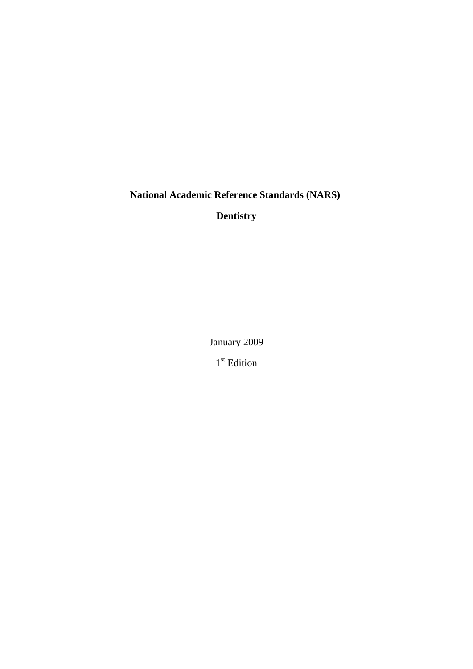**National Academic Reference Standards (NARS)** 

**Dentistry**

January 2009

1<sup>st</sup> Edition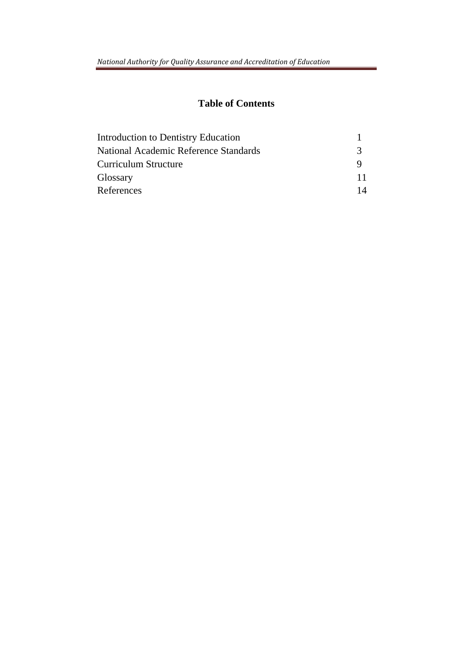# **Table of Contents**

| <b>Introduction to Dentistry Education</b> |    |
|--------------------------------------------|----|
| National Academic Reference Standards      | 3  |
| Curriculum Structure                       |    |
| Glossary                                   | 11 |
| References                                 | 14 |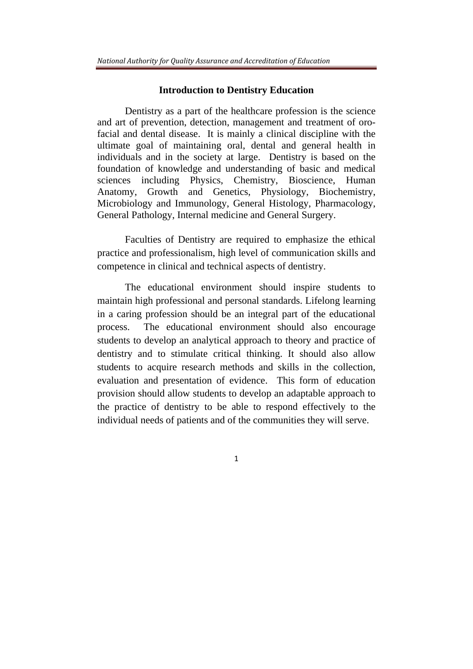#### **Introduction to Dentistry Education**

Dentistry as a part of the healthcare profession is the science and art of prevention, detection, management and treatment of orofacial and dental disease. It is mainly a clinical discipline with the ultimate goal of maintaining oral, dental and general health in individuals and in the society at large. Dentistry is based on the foundation of knowledge and understanding of basic and medical sciences including Physics, Chemistry, Bioscience, Human Anatomy, Growth and Genetics, Physiology, Biochemistry, Microbiology and Immunology, General Histology, Pharmacology, General Pathology, Internal medicine and General Surgery.

Faculties of Dentistry are required to emphasize the ethical practice and professionalism, high level of communication skills and competence in clinical and technical aspects of dentistry.

The educational environment should inspire students to maintain high professional and personal standards. Lifelong learning in a caring profession should be an integral part of the educational process. The educational environment should also encourage students to develop an analytical approach to theory and practice of dentistry and to stimulate critical thinking. It should also allow students to acquire research methods and skills in the collection, evaluation and presentation of evidence. This form of education provision should allow students to develop an adaptable approach to the practice of dentistry to be able to respond effectively to the individual needs of patients and of the communities they will serve.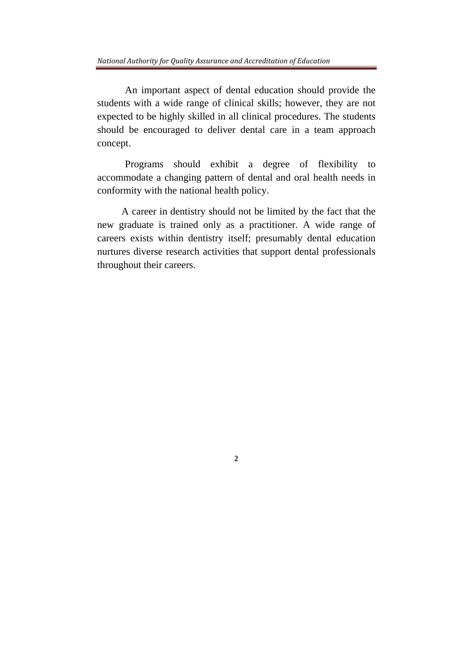An important aspect of dental education should provide the students with a wide range of clinical skills; however, they are not expected to be highly skilled in all clinical procedures. The students should be encouraged to deliver dental care in a team approach concept.

Programs should exhibit a degree of flexibility to accommodate a changing pattern of dental and oral health needs in conformity with the national health policy.

A career in dentistry should not be limited by the fact that the new graduate is trained only as a practitioner. A wide range of careers exists within dentistry itself; presumably dental education nurtures diverse research activities that support dental professionals throughout their careers.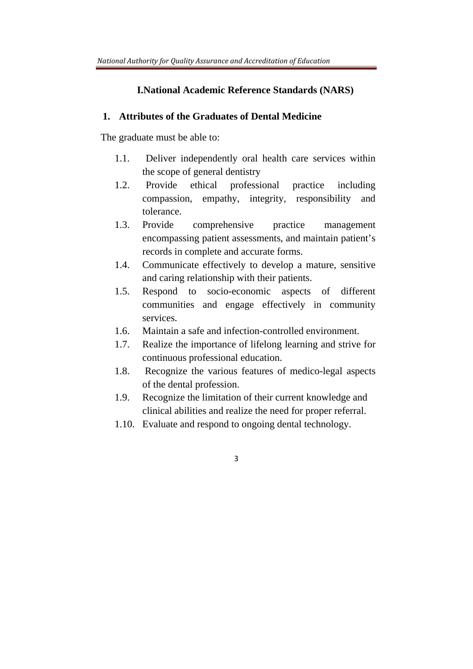# **I.National Academic Reference Standards (NARS)**

### **1. Attributes of the Graduates of Dental Medicine**

The graduate must be able to:

- 1.1. Deliver independently oral health care services within the scope of general dentistry
- 1.2. Provide ethical professional practice including compassion, empathy, integrity, responsibility and tolerance.
- 1.3. Provide comprehensive practice management encompassing patient assessments, and maintain patient's records in complete and accurate forms.
- 1.4. Communicate effectively to develop a mature, sensitive and caring relationship with their patients.
- 1.5. Respond to socio-economic aspects of different communities and engage effectively in community services.
- 1.6. Maintain a safe and infection-controlled environment.
- 1.7. Realize the importance of lifelong learning and strive for continuous professional education.
- 1.8. Recognize the various features of medico-legal aspects of the dental profession.
- 1.9. Recognize the limitation of their current knowledge and clinical abilities and realize the need for proper referral.
- 1.10. Evaluate and respond to ongoing dental technology.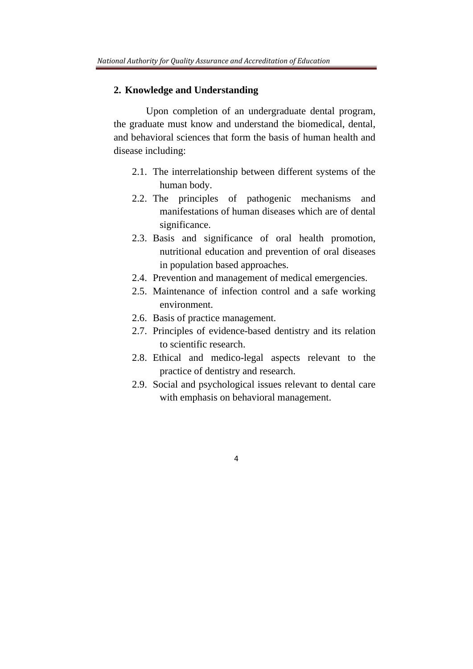#### **2. Knowledge and Understanding**

Upon completion of an undergraduate dental program, the graduate must know and understand the biomedical, dental, and behavioral sciences that form the basis of human health and disease including:

- 2.1. The interrelationship between different systems of the human body.
- 2.2. The principles of pathogenic mechanisms and manifestations of human diseases which are of dental significance.
- 2.3. Basis and significance of oral health promotion, nutritional education and prevention of oral diseases in population based approaches.
- 2.4. Prevention and management of medical emergencies.
- 2.5. Maintenance of infection control and a safe working environment.
- 2.6. Basis of practice management.
- 2.7. Principles of evidence-based dentistry and its relation to scientific research.
- 2.8. Ethical and medico-legal aspects relevant to the practice of dentistry and research.
- 2.9. Social and psychological issues relevant to dental care with emphasis on behavioral management.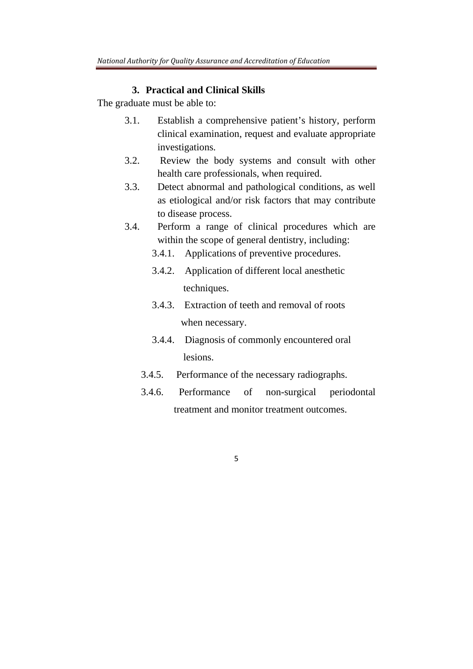# **3. Practical and Clinical Skills**

The graduate must be able to:

- 3.1. Establish a comprehensive patient's history, perform clinical examination, request and evaluate appropriate investigations.
- 3.2. Review the body systems and consult with other health care professionals, when required.
- 3.3. Detect abnormal and pathological conditions, as well as etiological and/or risk factors that may contribute to disease process.
- 3.4. Perform a range of clinical procedures which are within the scope of general dentistry, including:
	- 3.4.1. Applications of preventive procedures.
	- 3.4.2. Application of different local anesthetic techniques.
	- 3.4.3. Extraction of teeth and removal of roots when necessary.
	- 3.4.4. Diagnosis of commonly encountered oral lesions.
	- 3.4.5. Performance of the necessary radiographs.
	- 3.4.6. Performance of non-surgical periodontal treatment and monitor treatment outcomes.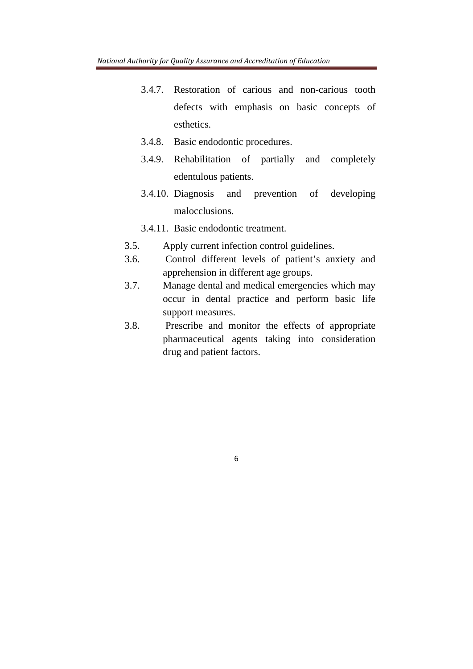- 3.4.7. Restoration of carious and non-carious tooth defects with emphasis on basic concepts of esthetics.
- 3.4.8. Basic endodontic procedures.
- 3.4.9. Rehabilitation of partially and completely edentulous patients.
- 3.4.10. Diagnosis and prevention of developing malocclusions.
- 3.4.11. Basic endodontic treatment.
- 3.5. Apply current infection control guidelines.
- 3.6. Control different levels of patient's anxiety and apprehension in different age groups.
- 3.7. Manage dental and medical emergencies which may occur in dental practice and perform basic life support measures.
- 3.8. Prescribe and monitor the effects of appropriate pharmaceutical agents taking into consideration drug and patient factors.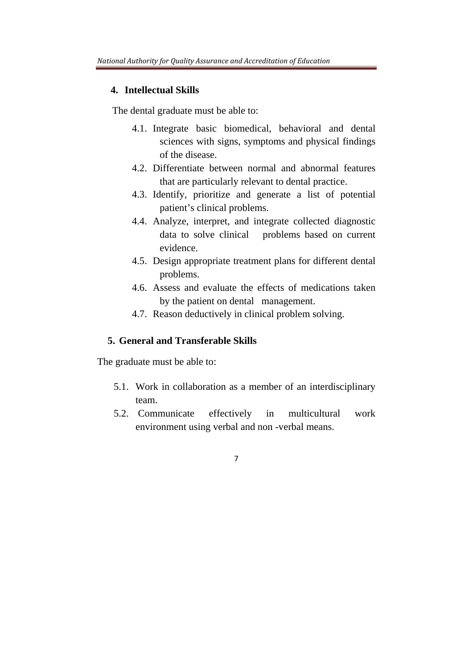### **4. Intellectual Skills**

The dental graduate must be able to:

- 4.1. Integrate basic biomedical, behavioral and dental sciences with signs, symptoms and physical findings of the disease.
- 4.2. Differentiate between normal and abnormal features that are particularly relevant to dental practice.
- 4.3. Identify, prioritize and generate a list of potential patient's clinical problems.
- 4.4. Analyze, interpret, and integrate collected diagnostic data to solve clinical problems based on current evidence.
- 4.5. Design appropriate treatment plans for different dental problems.
- 4.6. Assess and evaluate the effects of medications taken by the patient on dental management.
- 4.7. Reason deductively in clinical problem solving.

# **5. General and Transferable Skills**

The graduate must be able to:

- 5.1. Work in collaboration as a member of an interdisciplinary team.
- 5.2. Communicate effectively in multicultural work environment using verbal and non -verbal means.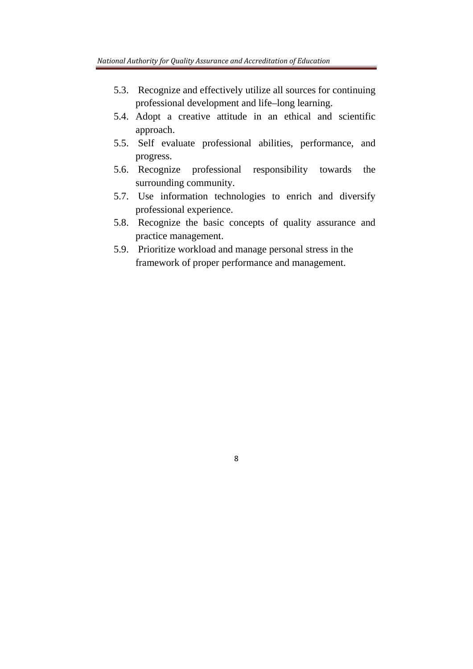- 5.3. Recognize and effectively utilize all sources for continuing professional development and life–long learning.
- 5.4. Adopt a creative attitude in an ethical and scientific approach.
- 5.5. Self evaluate professional abilities, performance, and progress.
- 5.6. Recognize professional responsibility towards the surrounding community.
- 5.7. Use information technologies to enrich and diversify professional experience.
- 5.8. Recognize the basic concepts of quality assurance and practice management.
- 5.9. Prioritize workload and manage personal stress in the framework of proper performance and management.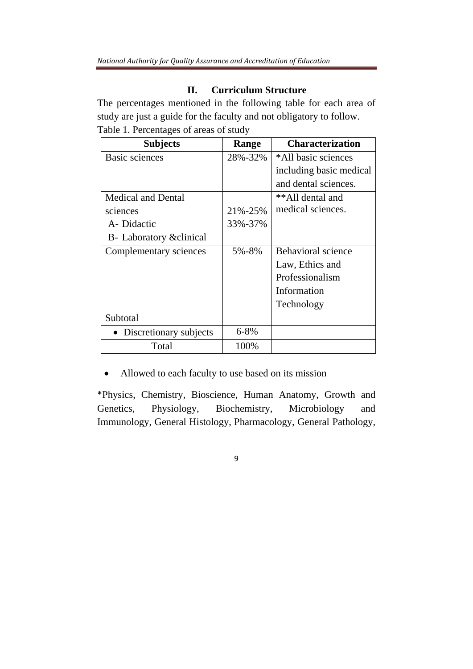# **II. Curriculum Structure**

The percentages mentioned in the following table for each area of study are just a guide for the faculty and not obligatory to follow. Table 1. Percentages of areas of study

| <b>Subjects</b>           | Range     | <b>Characterization</b>   |
|---------------------------|-----------|---------------------------|
| <b>Basic sciences</b>     | 28%-32%   | *All basic sciences       |
|                           |           | including basic medical   |
|                           |           | and dental sciences.      |
| <b>Medical and Dental</b> |           | **All dental and          |
| sciences                  | 21%-25%   | medical sciences.         |
| A-Didactic                | 33%-37%   |                           |
| B- Laboratory & clinical  |           |                           |
| Complementary sciences    | 5%-8%     | <b>Behavioral science</b> |
|                           |           | Law, Ethics and           |
|                           |           | Professionalism           |
|                           |           | Information               |
|                           |           | Technology                |
| Subtotal                  |           |                           |
| • Discretionary subjects  | $6 - 8\%$ |                           |
| Total                     | 100%      |                           |

Allowed to each faculty to use based on its mission

\*Physics, Chemistry, Bioscience, Human Anatomy, Growth and Genetics, Physiology, Biochemistry, Microbiology and Immunology, General Histology, Pharmacology, General Pathology,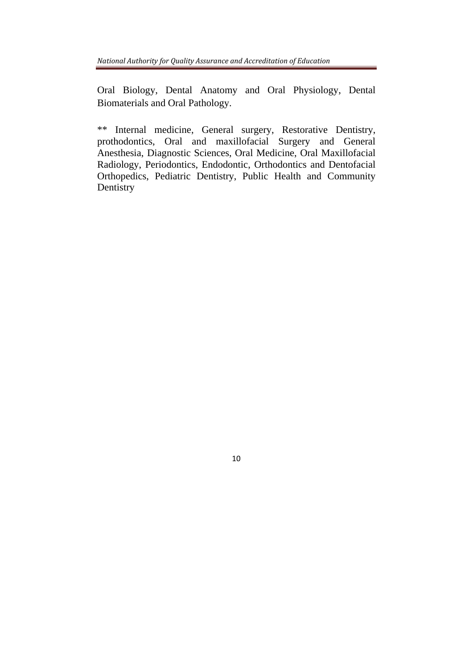Oral Biology, Dental Anatomy and Oral Physiology, Dental Biomaterials and Oral Pathology.

\*\* Internal medicine, General surgery, Restorative Dentistry, prothodontics, Oral and maxillofacial Surgery and General Anesthesia, Diagnostic Sciences, Oral Medicine, Oral Maxillofacial Radiology, Periodontics, Endodontic, Orthodontics and Dentofacial Orthopedics, Pediatric Dentistry, Public Health and Community Dentistry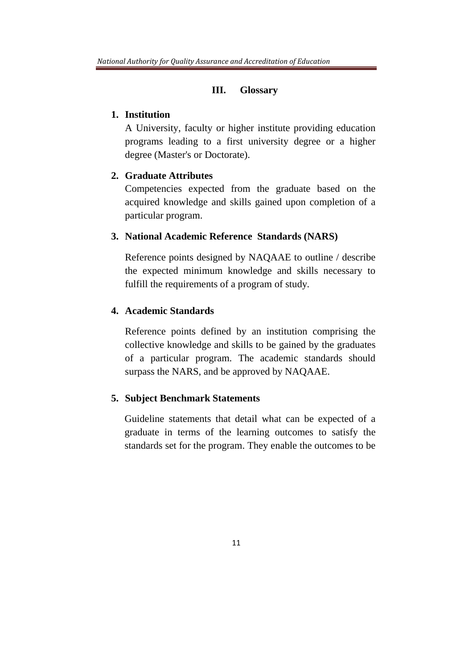#### **III. Glossary**

# **1. Institution**

A University, faculty or higher institute providing education programs leading to a first university degree or a higher degree (Master's or Doctorate).

## **2. Graduate Attributes**

Competencies expected from the graduate based on the acquired knowledge and skills gained upon completion of a particular program.

#### **3. National Academic Reference Standards (NARS)**

Reference points designed by NAQAAE to outline / describe the expected minimum knowledge and skills necessary to fulfill the requirements of a program of study*.*

# **4. Academic Standards**

Reference points defined by an institution comprising the collective knowledge and skills to be gained by the graduates of a particular program. The academic standards should surpass the NARS, and be approved by NAQAAE.

## **5. Subject Benchmark Statements**

Guideline statements that detail what can be expected of a graduate in terms of the learning outcomes to satisfy the standards set for the program. They enable the outcomes to be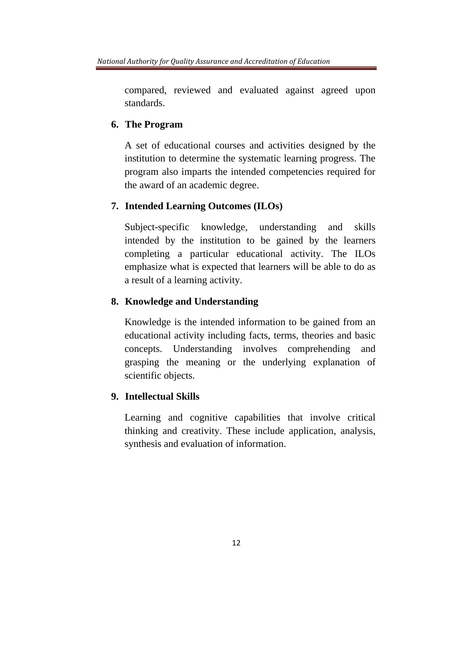compared, reviewed and evaluated against agreed upon standards.

# **6. The Program**

A set of educational courses and activities designed by the institution to determine the systematic learning progress. The program also imparts the intended competencies required for the award of an academic degree.

# **7. Intended Learning Outcomes (ILOs)**

Subject-specific knowledge, understanding and skills intended by the institution to be gained by the learners completing a particular educational activity. The ILOs emphasize what is expected that learners will be able to do as a result of a learning activity.

# **8. Knowledge and Understanding**

Knowledge is the intended information to be gained from an educational activity including facts, terms, theories and basic concepts. Understanding involves comprehending and grasping the meaning or the underlying explanation of scientific objects.

# **9. Intellectual Skills**

Learning and cognitive capabilities that involve critical thinking and creativity. These include application, analysis, synthesis and evaluation of information.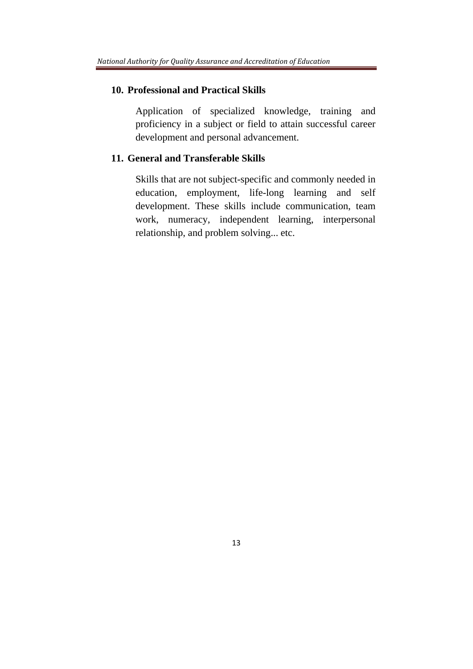# **10. Professional and Practical Skills**

Application of specialized knowledge, training and proficiency in a subject or field to attain successful career development and personal advancement.

# **11. General and Transferable Skills**

Skills that are not subject-specific and commonly needed in education, employment, life-long learning and self development. These skills include communication, team work, numeracy, independent learning, interpersonal relationship, and problem solving... etc.